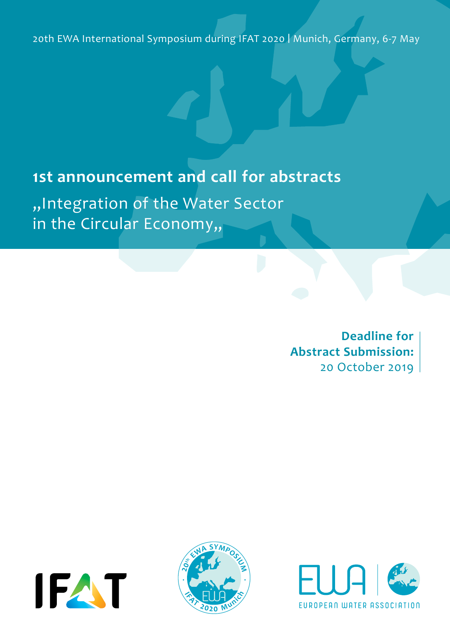20th EWA International Symposium during IFAT 2020 | Munich, Germany, 6-7 May

# **1st announcement and call for abstracts**

"Integration of the Water Sector in the Circular Economy,,

> **Deadline for Abstract Submission:**  20 October 2019

20th EWA International Symposium during IFAT 2020 **<sup>2</sup>0<sup>t</sup><sup>h</sup> <sup>E</sup>W<sup>A</sup> <sup>S</sup>YMPOS<sup>I</sup>U<sup>M</sup>**





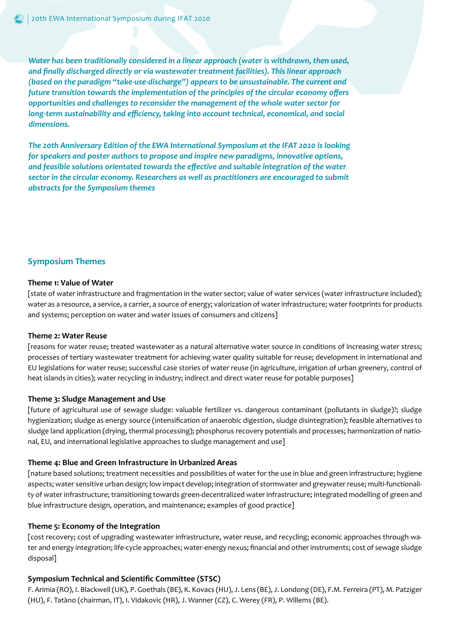*Water has been traditionally considered in a linear approach (water is withdrawn, then used, and finally discharged directly or via wastewater treatment facilities). This linear approach (based on the paradigm "take-use-discharge") appears to be unsustainable. The current and future transition towards the implementation of the principles of the circular economy offers opportunities and challenges to reconsider the management of the whole water sector for long-term sustainability and efficiency, taking into account technical, economical, and social dimensions.* 

*The 20th Anniversary Edition of the EWA International Symposium at the IFAT 2020 is looking for speakers and poster authors to propose and inspire new paradigms, innovative options, and feasible solutions orientated towards the effective and suitable integration of the water sector in the circular economy. Researchers as well as practitioners are encouraged to submit abstracts for the Symposium themes*

#### **Symposium Themes**

#### **Theme 1: Value of Water**

[state of water infrastructure and fragmentation in the water sector; value of water services (water infrastructure included); water as a resource, a service, a carrier, a source of energy; valorization of water infrastructure; water footprints for products and systems; perception on water and water issues of consumers and citizens]

#### **Theme 2: Water Reuse**

[reasons for water reuse; treated wastewater as a natural alternative water source in conditions of increasing water stress; processes of tertiary wastewater treatment for achieving water quality suitable for reuse; development in international and EU legislations for water reuse; successful case stories of water reuse (in agriculture, irrigation of urban greenery, control of heat islands in cities); water recycling in industry; indirect and direct water reuse for potable purposes]

#### **Theme 3: Sludge Management and Use**

[future of agricultural use of sewage sludge: valuable fertilizer vs. dangerous contaminant (pollutants in sludge)?; sludge hygienization; sludge as energy source (intensification of anaerobic digestion, sludge disintegration); feasible alternatives to sludge land application (drying, thermal processing); phosphorus recovery potentials and processes; harmonization of national, EU, and international legislative approaches to sludge management and use]

#### **Theme 4: Blue and Green Infrastructure in Urbanized Areas**

[nature based solutions; treatment necessities and possibilities of water for the use in blue and green infrastructure; hygiene aspects; water sensitive urban design; low impact develop; integration of stormwater and greywater reuse; multi-functionality of water infrastructure; transitioning towards green-decentralized water infrastructure; integrated modelling of green and blue infrastructure design, operation, and maintenance; examples of good practice]

#### **Theme 5: Economy of the Integration**

[cost recovery; cost of upgrading wastewater infrastructure, water reuse, and recycling; economic approaches through water and energy integration; life-cycle approaches; water-energy nexus; financial and other instruments; cost of sewage sludge disposal]

#### **Symposium Technical and Scientific Committee (STSC)**

F. Arimia (RO), I. Blackwell (UK), P. Goethals (BE), K. Kovacs (HU), J. Lens (BE), J. Londong (DE), F.M. Ferreira (PT), M. Patziger (HU), F. Tatàno (chairman, IT), I. Vidakovic (HR), J. Wanner (CZ), C. Werey (FR), P. Willems (BE).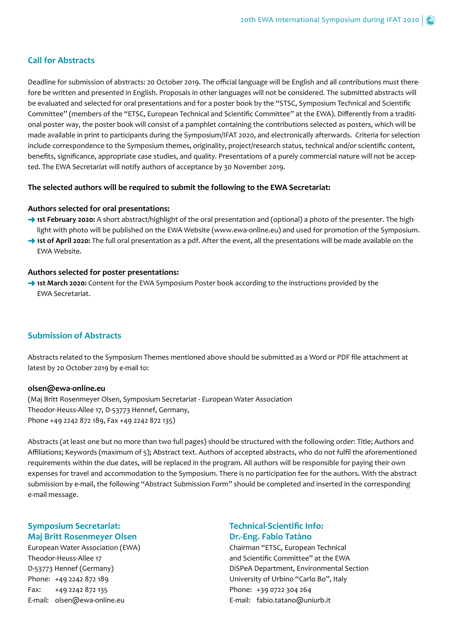## **Call for Abstracts**

Deadline for submission of abstracts: 20 October 2019. The official language will be English and all contributions must therefore be written and presented in English. Proposals in other languages will not be considered. The submitted abstracts will be evaluated and selected for oral presentations and for a poster book by the "STSC, Symposium Technical and Scientific Committee" (members of the "ETSC, European Technical and Scientific Committee" at the EWA). Differently from a traditional poster way, the poster book will consist of a pamphlet containing the contributions selected as posters, which will be made available in print to participants during the Symposium/IFAT 2020, and electronically afterwards. Criteria for selection include correspondence to the Symposium themes, originality, project/research status, technical and/or scientific content, benefits, significance, appropriate case studies, and quality. Presentations of a purely commercial nature will not be accepted. The EWA Secretariat will notify authors of acceptance by 30 November 2019.

#### **The selected authors will be required to submit the following to the EWA Secretariat:**

#### **Authors selected for oral presentations:**

- **1st February 2020:** A short abstract/highlight of the oral presentation and (optional) a photo of the presenter. The highlight with photo will be published on the EWA Website (www.ewa-online.eu) and used for promotion of the Symposium.
- **1st of April 2020:** The full oral presentation as a pdf. After the event, all the presentations will be made available on the EWA Website.

#### **Authors selected for poster presentations:**

→ ist March 2020: Content for the EWA Symposium Poster book according to the instructions provided by the EWA Secretariat.

# **Submission of Abstracts**

Abstracts related to the Symposium Themes mentioned above should be submitted as a Word or PDF file attachment at latest by 20 October 2019 by e-mail to:

#### **olsen@ewa-online.eu**

(Maj Britt Rosenmeyer Olsen, Symposium Secretariat - European Water Association Theodor-Heuss-Allee 17, D-53773 Hennef, Germany, Phone +49 2242 872 189, Fax +49 2242 872 135)

Abstracts (at least one but no more than two full pages) should be structured with the following order: Title; Authors and Affiliations; Keywords (maximum of 5); Abstract text. Authors of accepted abstracts, who do not fulfil the aforementioned requirements within the due dates, will be replaced in the program. All authors will be responsible for paying their own expenses for travel and accommodation to the Symposium. There is no participation fee for the authors. With the abstract submission by e-mail, the following "Abstract Submission Form" should be completed and inserted in the corresponding e-mail message.

# **Symposium Secretariat: Maj Britt Rosenmeyer Olsen**

European Water Association (EWA) Theodor-Heuss-Allee 17 D-53773 Hennef (Germany) Phone: +49 2242 872 189 Fax: +49 2242 872 135 E-mail: olsen@ewa-online.eu

## **Technical-Scientific Info: Dr.-Eng. Fabio Tatàno**

Chairman "ETSC, European Technical and Scientific Committee" at the EWA DiSPeA Department, Environmental Section University of Urbino "Carlo Bo", Italy Phone: +39 0722 304 264 E-mail: fabio.tatano@uniurb.it